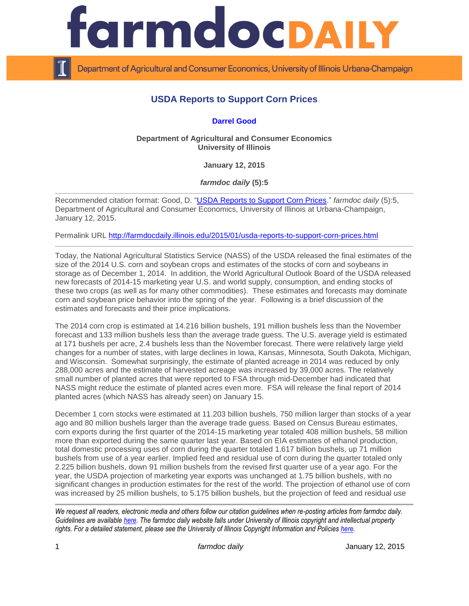

Department of Agricultural and Consumer Economics, University of Illinois Urbana-Champaign

## **USDA Reports to Support Corn Prices**

## **[Darrel Good](http://farmdoc.illinois.edu/good/)**

**Department of Agricultural and Consumer Economics University of Illinois**

**January 12, 2015**

*farmdoc daily* **(5):5**

Recommended citation format: Good, D. ["USDA Reports to Support Corn Prices.](http://farmdocdaily.illinois.edu/2015/01/usda-reports-to-support-corn-prices.html)" *farmdoc daily* (5):5, Department of Agricultural and Consumer Economics, University of Illinois at Urbana-Champaign, January 12, 2015.

Permalink URL<http://farmdocdaily.illinois.edu/2015/01/usda-reports-to-support-corn-prices.html>

Today, the National Agricultural Statistics Service (NASS) of the USDA released the final estimates of the size of the 2014 U.S. corn and soybean crops and estimates of the stocks of corn and soybeans in storage as of December 1, 2014. In addition, the World Agricultural Outlook Board of the USDA released new forecasts of 2014-15 marketing year U.S. and world supply, consumption, and ending stocks of these two crops (as well as for many other commodities). These estimates and forecasts may dominate corn and soybean price behavior into the spring of the year. Following is a brief discussion of the estimates and forecasts and their price implications.

The 2014 corn crop is estimated at 14.216 billion bushels, 191 million bushels less than the November forecast and 133 million bushels less than the average trade guess. The U.S. average yield is estimated at 171 bushels per acre, 2.4 bushels less than the November forecast. There were relatively large yield changes for a number of states, with large declines in Iowa, Kansas, Minnesota, South Dakota, Michigan, and Wisconsin. Somewhat surprisingly, the estimate of planted acreage in 2014 was reduced by only 288,000 acres and the estimate of harvested acreage was increased by 39,000 acres. The relatively small number of planted acres that were reported to FSA through mid-December had indicated that NASS might reduce the estimate of planted acres even more. FSA will release the final report of 2014 planted acres (which NASS has already seen) on January 15.

December 1 corn stocks were estimated at 11.203 billion bushels, 750 million larger than stocks of a year ago and 80 million bushels larger than the average trade guess. Based on Census Bureau estimates, corn exports during the first quarter of the 2014-15 marketing year totaled 408 million bushels, 58 million more than exported during the same quarter last year. Based on EIA estimates of ethanol production, total domestic processing uses of corn during the quarter totaled 1.617 billion bushels, up 71 million bushels from use of a year earlier. Implied feed and residual use of corn during the quarter totaled only 2.225 billion bushels, down 91 million bushels from the revised first quarter use of a year ago. For the year, the USDA projection of marketing year exports was unchanged at 1.75 billion bushels, with no significant changes in production estimates for the rest of the world. The projection of ethanol use of corn was increased by 25 million bushels, to 5.175 billion bushels, but the projection of feed and residual use

*We request all readers, electronic media and others follow our citation guidelines when re-posting articles from farmdoc daily. Guidelines are available [here.](http://farmdocdaily.illinois.edu/citationguide.html) The farmdoc daily website falls under University of Illinois copyright and intellectual property rights. For a detailed statement, please see the University of Illinois Copyright Information and Policies [here.](http://www.cio.illinois.edu/policies/copyright/)*